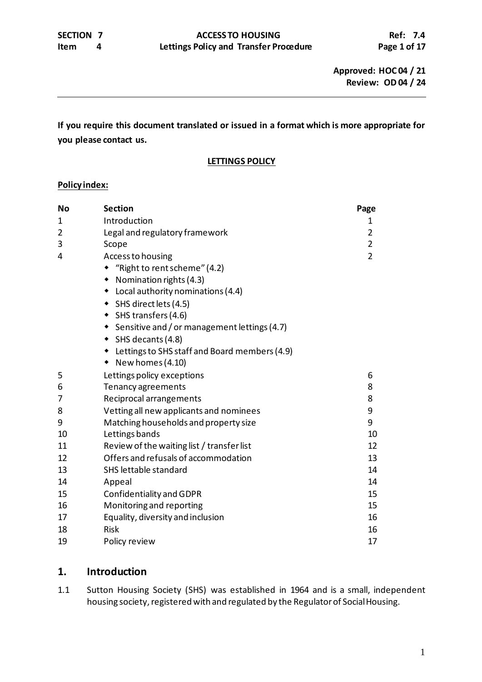**If you require this document translated or issued in a format which is more appropriate for you please contact us.**

### **LETTINGS POLICY**

### **Policy index:**

| <b>No</b>      | <b>Section</b>                                     | Page           |  |
|----------------|----------------------------------------------------|----------------|--|
| 1              | Introduction                                       | 1              |  |
| $\overline{2}$ | Legal and regulatory framework                     | $\overline{2}$ |  |
| 3              | Scope                                              |                |  |
| 4              | Access to housing                                  | $\overline{2}$ |  |
|                | "Right to rent scheme" (4.2)                       |                |  |
|                | Nomination rights (4.3)<br>$\bullet$               |                |  |
|                | • Local authority nominations (4.4)                |                |  |
|                | ◆ SHS direct lets (4.5)                            |                |  |
|                | ◆ SHS transfers (4.6)                              |                |  |
|                | ◆ Sensitive and / or management lettings (4.7)     |                |  |
|                | $\bullet$ SHS decants (4.8)                        |                |  |
|                | Lettings to SHS staff and Board members (4.9)<br>٠ |                |  |
|                | New homes (4.10)<br>٠                              |                |  |
| 5              | Lettings policy exceptions                         | 6              |  |
| 6              | Tenancy agreements                                 | 8              |  |
| 7              | Reciprocal arrangements                            | 8              |  |
| 8              | Vetting all new applicants and nominees<br>9       |                |  |
| 9              | 9<br>Matching households and property size         |                |  |
| 10             | Lettings bands<br>10                               |                |  |
| 11             | Review of the waiting list / transfer list<br>12   |                |  |
| 12             | Offers and refusals of accommodation<br>13         |                |  |
| 13             | SHS lettable standard<br>14                        |                |  |
| 14             | Appeal<br>14                                       |                |  |
| 15             | Confidentiality and GDPR<br>15                     |                |  |
| 16             | Monitoring and reporting<br>15                     |                |  |
| 17             | Equality, diversity and inclusion<br>16            |                |  |
| 18             | <b>Risk</b>                                        | 16             |  |
| 19             | Policy review                                      | 17             |  |

## **1. Introduction**

1.1 Sutton Housing Society (SHS) was established in 1964 and is a small, independent housing society, registered with and regulated by the Regulator of Social Housing.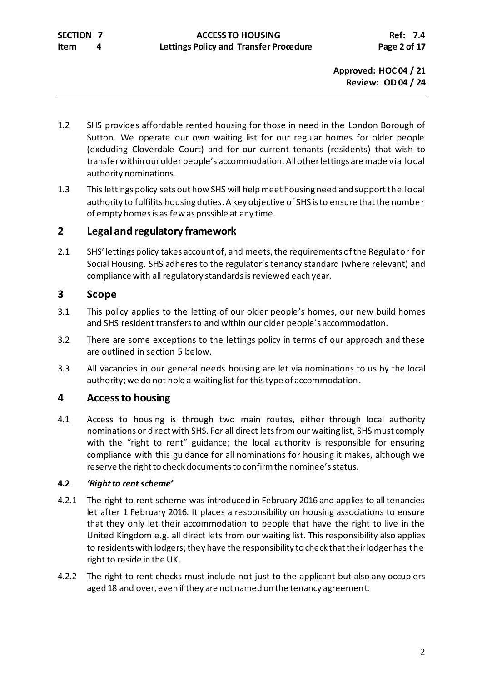- 1.2 SHS provides affordable rented housing for those in need in the London Borough of Sutton. We operate our own waiting list for our regular homes for older people (excluding Cloverdale Court) and for our current tenants (residents) that wish to transfer within our older people's accommodation. All other lettings are made via local authority nominations.
- 1.3 This lettings policy sets out how SHS will help meet housing need and supportthe local authority to fulfilits housing duties. A key objective of SHS is to ensure that the number of empty homes is as few as possible at any time.

# **2 Legal andregulatory framework**

2.1 SHS' lettings policy takes account of, and meets, the requirements of the Regulator for Social Housing. SHS adheres to the regulator's tenancy standard (where relevant) and compliance with all regulatory standards is reviewed each year.

# **3 Scope**

- 3.1 This policy applies to the letting of our older people's homes, our new build homes and SHS resident transfers to and within our older people's accommodation.
- 3.2 There are some exceptions to the lettings policy in terms of our approach and these are outlined in section 5 below.
- 3.3 All vacancies in our general needs housing are let via nominations to us by the local authority; we do not hold a waiting list for this type of accommodation.

# **4 Access to housing**

4.1 Access to housing is through two main routes, either through local authority nominations or direct with SHS. For all direct lets from our waiting list, SHS must comply with the "right to rent" guidance; the local authority is responsible for ensuring compliance with this guidance for all nominations for housing it makes, although we reserve the right to check documents to confirm the nominee's status.

## **4.2** *'Right to rentscheme'*

- 4.2.1 The right to rent scheme was introduced in February 2016 and applies to all tenancies let after 1 February 2016. It places a responsibility on housing associations to ensure that they only let their accommodation to people that have the right to live in the United Kingdom e.g. all direct lets from our waiting list. This responsibility also applies to residents with lodgers; they have the responsibility to check that their lodger has the right to reside in the UK.
- 4.2.2 The right to rent checks must include not just to the applicant but also any occupiers aged 18 and over, even if they are not named on the tenancy agreement.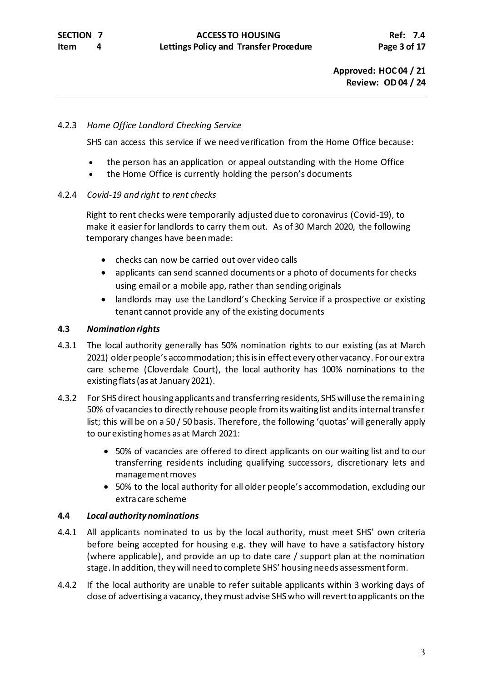### 4.2.3 *Home Office Landlord Checking Service*

SHS can access this service if we need verification from the Home Office because:

- the person has an application or appeal outstanding with the Home Office
- the Home Office is currently holding the person's documents

### 4.2.4 *Covid-19 and right to rent checks*

Right to rent checks were temporarily adjusted due to coronavirus (Covid-19), to make it easier for landlords to carry them out. As of 30 March 2020, the following temporary changes have been made:

- checks can now be carried out over video calls
- applicants can send scanned documents or a photo of documents for checks using email or a mobile app, rather than sending originals
- landlords may use the [Landlord's](https://eforms.homeoffice.gov.uk/outreach/lcs-application.ofml) Checking Service if a prospective or existing tenant cannot provide any of the existing documents

## **4.3** *Nomination rights*

- 4.3.1 The local authority generally has 50% nomination rights to our existing (as at March 2021) older people's accommodation; this is in effect every other vacancy. For our extra care scheme (Cloverdale Court), the local authority has 100% nominations to the existing flats(as at January 2021).
- 4.3.2 For SHS direct housing applicants and transferring residents, SHS will use the remaining 50% of vacancies to directly rehouse people fromits waiting list and its internal transfer list; this will be on a 50 / 50 basis. Therefore, the following 'quotas' will generally apply to our existing homes as at March 2021:
	- 50% of vacancies are offered to direct applicants on our waiting list and to our transferring residents including qualifying successors, discretionary lets and management moves
	- 50% to the local authority for all older people's accommodation, excluding our extra care scheme

### **4.4** *Local authority nominations*

- 4.4.1 All applicants nominated to us by the local authority, must meet SHS' own criteria before being accepted for housing e.g. they will have to have a satisfactory history (where applicable), and provide an up to date care / support plan at the nomination stage. In addition, they will need to complete SHS' housing needs assessment form.
- 4.4.2 If the local authority are unable to refer suitable applicants within 3 working days of close of advertising a vacancy, they must advise SHS who will revert to applicants on the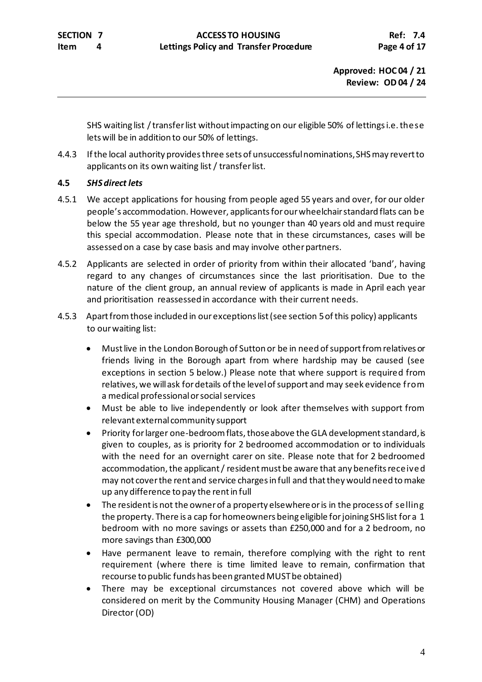SHS waiting list / transfer list without impacting on our eligible 50% of lettings i.e. these lets will be in addition to our 50% of lettings.

4.4.3 If the local authority provides three sets of unsuccessful nominations, SHS may revert to applicants on its own waiting list / transfer list.

## **4.5** *SHS direct lets*

- 4.5.1 We accept applications for housing from people aged 55 years and over, for our older people's accommodation. However, applicants for our wheelchair standard flats can be below the 55 year age threshold, but no younger than 40 years old and must require this special accommodation. Please note that in these circumstances, cases will be assessed on a case by case basis and may involve other partners.
- 4.5.2 Applicants are selected in order of priority from within their allocated 'band', having regard to any changes of circumstances since the last prioritisation. Due to the nature of the client group, an annual review of applicants is made in April each year and prioritisation reassessed in accordance with their current needs.
- 4.5.3 Apart from those included in our exceptions list (see section 5 of this policy) applicants to our waiting list:
	- Must live in the London Borough of Sutton or be in need of support from relatives or friends living in the Borough apart from where hardship may be caused (see exceptions in section 5 below.) Please note that where support is required from relatives, we will ask for details of the level of support and may seek evidence from a medical professional or social services
	- Must be able to live independently or look after themselves with support from relevant external community support
	- Priority for larger one-bedroom flats, those above the GLA development standard, is given to couples, as is priority for 2 bedroomed accommodation or to individuals with the need for an overnight carer on site. Please note that for 2 bedroomed accommodation, the applicant / resident must be aware that any benefits received may not cover the rent and service charges in full and that they would need to make up any difference to pay the rent in full
	- The resident is not the owner of a property elsewhere or is in the process of selling the property. There is a cap for homeowners being eligible for joining SHS list for a 1 bedroom with no more savings or assets than £250,000 and for a 2 bedroom, no more savings than £300,000
	- Have permanent leave to remain, therefore complying with the right to rent requirement (where there is time limited leave to remain, confirmation that recourse to public funds has been granted MUST be obtained)
	- There may be exceptional circumstances not covered above which will be considered on merit by the Community Housing Manager (CHM) and Operations Director (OD)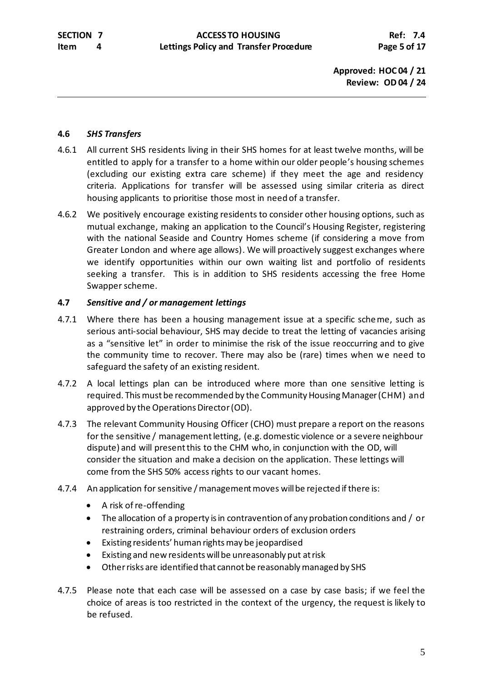### **4.6** *SHS Transfers*

- 4.6.1 All current SHS residents living in their SHS homes for at least twelve months, will be entitled to apply for a transfer to a home within our older people's housing schemes (excluding our existing extra care scheme) if they meet the age and residency criteria. Applications for transfer will be assessed using similar criteria as direct housing applicants to prioritise those most in need of a transfer.
- 4.6.2 We positively encourage existing residents to consider other housing options, such as mutual exchange, making an application to the Council's Housing Register, registering with the national Seaside and Country Homes scheme (if considering a move from Greater London and where age allows). We will proactively suggest exchanges where we identify opportunities within our own waiting list and portfolio of residents seeking a transfer. This is in addition to SHS residents accessing the free Home Swapper scheme.

### **4.7** *Sensitive and / or management lettings*

- 4.7.1 Where there has been a housing management issue at a specific scheme, such as serious anti-social behaviour, SHS may decide to treat the letting of vacancies arising as a "sensitive let" in order to minimise the risk of the issue reoccurring and to give the community time to recover. There may also be (rare) times when we need to safeguard the safety of an existing resident.
- 4.7.2 A local lettings plan can be introduced where more than one sensitive letting is required. This must be recommended by the Community Housing Manager (CHM) and approved by the Operations Director(OD).
- 4.7.3 The relevant Community Housing Officer (CHO) must prepare a report on the reasons for the sensitive / management letting, (e.g. domestic violence or a severe neighbour dispute) and will present this to the CHM who, in conjunction with the OD, will consider the situation and make a decision on the application. These lettings will come from the SHS 50% access rights to our vacant homes.
- 4.7.4 An application for sensitive / management moves will be rejected if there is:
	- A risk of re-offending
	- The allocation of a property is in contravention of any probation conditions and / or restraining orders, criminal behaviour orders of exclusion orders
	- Existing residents' human rights may be jeopardised
	- Existing and new residents will be unreasonably put at risk
	- Other risks are identified that cannot be reasonably managed by SHS
- 4.7.5 Please note that each case will be assessed on a case by case basis; if we feel the choice of areas is too restricted in the context of the urgency, the request is likely to be refused.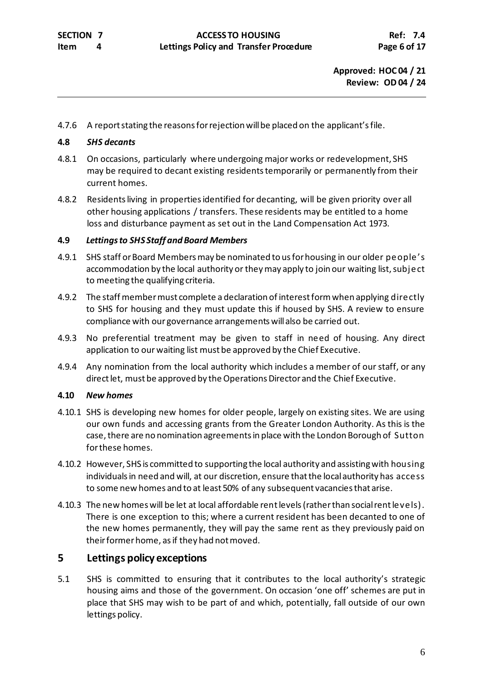4.7.6 A report stating the reasons for rejection will be placed on the applicant'sfile.

### **4.8** *SHS decants*

- 4.8.1 On occasions, particularly where undergoing major works or redevelopment, SHS may be required to decant existing residents temporarily or permanently from their current homes.
- 4.8.2 Residents living in properties identified for decanting, will be given priority over all other housing applications / transfers. These residents may be entitled to a home loss and disturbance payment as set out in the Land Compensation Act 1973.

## **4.9** *Lettings to SHS Staff and Board Members*

- 4.9.1 SHS staff or Board Members may be nominated to us for housing in our older people 's accommodation by the local authority or they may apply to join our waiting list, subject to meeting the qualifying criteria.
- 4.9.2 The staff member must complete a declaration of interest form when applying directly to SHS for housing and they must update this if housed by SHS. A review to ensure compliance with our governance arrangements will also be carried out.
- 4.9.3 No preferential treatment may be given to staff in need of housing. Any direct application to our waiting list must be approved by the Chief Executive.
- 4.9.4 Any nomination from the local authority which includes a member of our staff, or any direct let, must be approved by the Operations Director and the Chief Executive.

## **4.10** *New homes*

- 4.10.1 SHS is developing new homes for older people, largely on existing sites. We are using our own funds and accessing grants from the Greater London Authority. As this is the case, there are no nomination agreements in place with the London Borough of Sutton for these homes.
- 4.10.2 However, SHS is committed to supporting the local authority and assisting with housing individuals in need and will, at our discretion, ensure that the local authority has access to some new homes and to at least 50% of any subsequent vacancies that arise.
- 4.10.3 The new homes will be let at local affordable rent levels(rather than social rent levels). There is one exception to this; where a current resident has been decanted to one of the new homes permanently, they will pay the same rent as they previously paid on their former home, as if they had not moved.

# **5 Lettings policy exceptions**

5.1 SHS is committed to ensuring that it contributes to the local authority's strategic housing aims and those of the government. On occasion 'one off' schemes are put in place that SHS may wish to be part of and which, potentially, fall outside of our own lettings policy.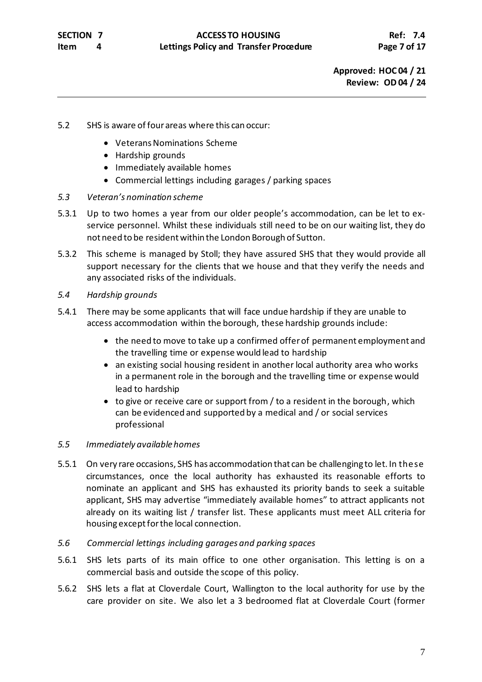- 5.2 SHS is aware of four areas where this can occur:
	- Veterans Nominations Scheme
	- Hardship grounds
	- Immediately available homes
	- Commercial lettings including garages / parking spaces
- *5.3 Veteran's nomination scheme*
- 5.3.1 Up to two homes a year from our older people's accommodation, can be let to exservice personnel. Whilst these individuals still need to be on our waiting list, they do not need to be resident within the London Borough of Sutton.
- 5.3.2 This scheme is managed by Stoll; they have assured SHS that they would provide all support necessary for the clients that we house and that they verify the needs and any associated risks of the individuals.
- *5.4 Hardship grounds*
- 5.4.1 There may be some applicants that will face undue hardship if they are unable to access accommodation within the borough, these hardship grounds include:
	- the need to move to take up a confirmed offer of permanent employment and the travelling time or expense would lead to hardship
	- an existing social housing resident in another local authority area who works in a permanent role in the borough and the travelling time or expense would lead to hardship
	- to give or receive care or support from / to a resident in the borough, which can be evidenced and supported by a medical and / or social services professional

### *5.5 Immediately available homes*

- 5.5.1 On very rare occasions, SHS has accommodation that can be challenging to let. In these circumstances, once the local authority has exhausted its reasonable efforts to nominate an applicant and SHS has exhausted its priority bands to seek a suitable applicant, SHS may advertise "immediately available homes" to attract applicants not already on its waiting list / transfer list. These applicants must meet ALL criteria for housing except for the local connection.
- *5.6 Commercial lettings including garages and parking spaces*
- 5.6.1 SHS lets parts of its main office to one other organisation. This letting is on a commercial basis and outside the scope of this policy.
- 5.6.2 SHS lets a flat at Cloverdale Court, Wallington to the local authority for use by the care provider on site. We also let a 3 bedroomed flat at Cloverdale Court (former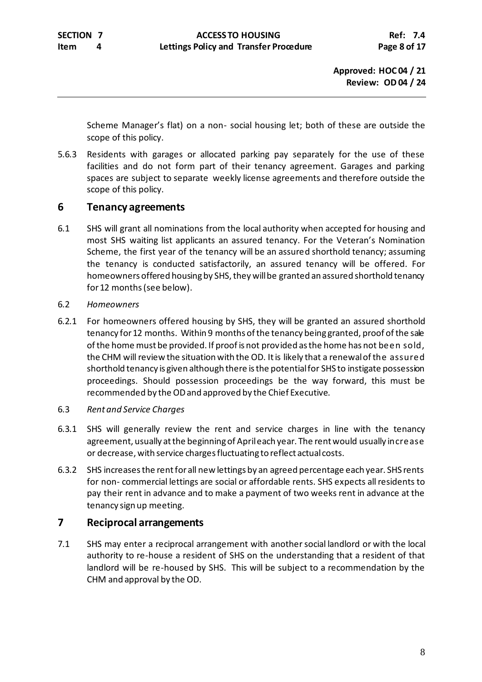Scheme Manager's flat) on a non- social housing let; both of these are outside the scope of this policy.

5.6.3 Residents with garages or allocated parking pay separately for the use of these facilities and do not form part of their tenancy agreement. Garages and parking spaces are subject to separate weekly license agreements and therefore outside the scope of this policy.

## **6 Tenancy agreements**

- 6.1 SHS will grant all nominations from the local authority when accepted for housing and most SHS waiting list applicants an assured tenancy. For the Veteran's Nomination Scheme, the first year of the tenancy will be an assured shorthold tenancy; assuming the tenancy is conducted satisfactorily, an assured tenancy will be offered. For homeowners offered housing by SHS, they will be granted an assured shorthold tenancy for 12 months(see below).
- 6.2 *Homeowners*
- 6.2.1 For homeowners offered housing by SHS, they will be granted an assured shorthold tenancy for 12 months. Within 9 months of the tenancy being granted, proof of the sale of the home must be provided. If proof is not provided as the home has not been sold, the CHM will review the situation with the OD. It is likely that a renewal of the assured shorthold tenancy is given although there is the potential for SHS to instigate possession proceedings. Should possession proceedings be the way forward, this must be recommended by the ODand approved by the Chief Executive.
- 6.3 *Rent and Service Charges*
- 6.3.1 SHS will generally review the rent and service charges in line with the tenancy agreement, usually at the beginning of April each year. The rent would usually increase or decrease, with service charges fluctuating to reflect actual costs.
- 6.3.2 SHS increases the rent for all new lettings by an agreed percentage each year. SHS rents for non- commercial lettings are social or affordable rents. SHS expects all residents to pay their rent in advance and to make a payment of two weeks rent in advance at the tenancy sign up meeting.

# **7 Reciprocal arrangements**

7.1 SHS may enter a reciprocal arrangement with another social landlord or with the local authority to re-house a resident of SHS on the understanding that a resident of that landlord will be re-housed by SHS. This will be subject to a recommendation by the CHM and approval by the OD.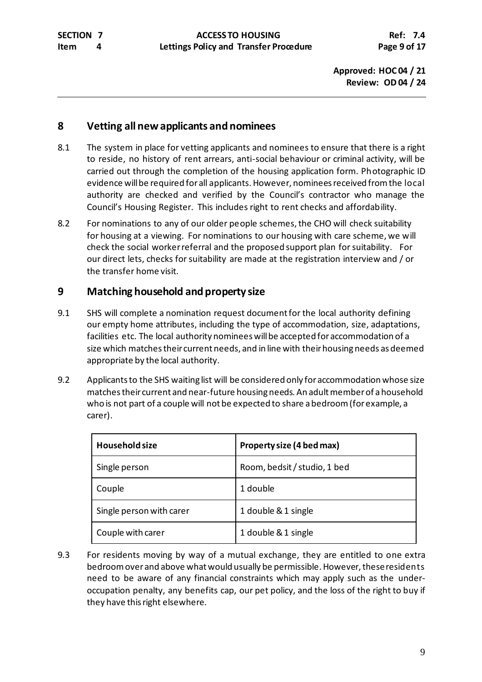## **8 Vetting all new applicants and nominees**

- 8.1 The system in place for vetting applicants and nominees to ensure that there is a right to reside, no history of rent arrears, anti-social behaviour or criminal activity, will be carried out through the completion of the housing application form. Photographic ID evidence will be required for all applicants.However, nominees received from the local authority are checked and verified by the Council's contractor who manage the Council's Housing Register. This includes right to rent checks and affordability.
- 8.2 For nominations to any of our older people schemes, the CHO will check suitability for housing at a viewing. For nominations to our housing with care scheme, we will check the social worker referral and the proposed support plan for suitability. For our direct lets, checks for suitability are made at the registration interview and / or the transfer home visit.

# **9 Matching household and property size**

- 9.1 SHS will complete a nomination request document for the local authority defining our empty home attributes, including the type of accommodation, size, adaptations, facilities etc. The local authority nominees will be accepted for accommodation of a size which matches their current needs, and in line with their housing needs as deemed appropriate by the local authority.
- 9.2 Applicants to the SHS waiting list will be considered only for accommodation whose size matches their current and near-future housing needs. An adult member of a household who is not part of a couple will not be expected to share a bedroom (for example, a carer).

| <b>Household size</b>    | Property size (4 bed max)    |
|--------------------------|------------------------------|
| Single person            | Room, bedsit / studio, 1 bed |
| Couple                   | 1 double                     |
| Single person with carer | 1 double & 1 single          |
| Couple with carer        | 1 double & 1 single          |

9.3 For residents moving by way of a mutual exchange, they are entitled to one extra bedroom over and above what would usually be permissible. However, these residents need to be aware of any financial constraints which may apply such as the underoccupation penalty, any benefits cap, our pet policy, and the loss of the right to buy if they have this right elsewhere.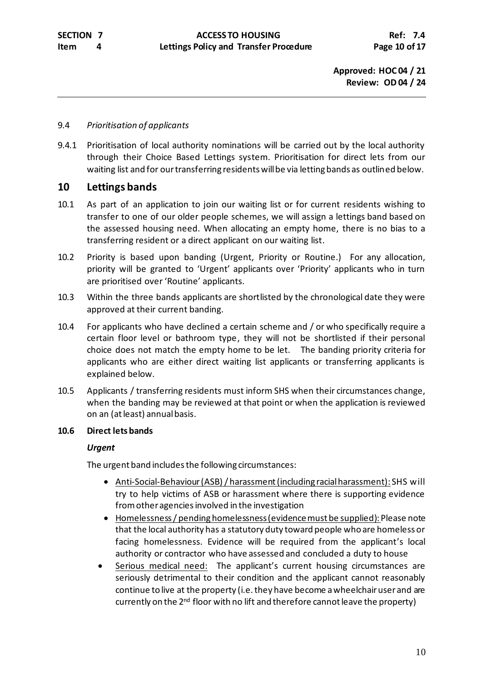### 9.4 *Prioritisation of applicants*

9.4.1 Prioritisation of local authority nominations will be carried out by the local authority through their Choice Based Lettings system. Prioritisation for direct lets from our waiting list and for our transferring residents will be via letting bands as outlined below.

## **10 Lettings bands**

- 10.1 As part of an application to join our waiting list or for current residents wishing to transfer to one of our older people schemes, we will assign a lettings band based on the assessed housing need. When allocating an empty home, there is no bias to a transferring resident or a direct applicant on our waiting list.
- 10.2 Priority is based upon banding (Urgent, Priority or Routine.) For any allocation, priority will be granted to 'Urgent' applicants over 'Priority' applicants who in turn are prioritised over 'Routine' applicants.
- 10.3 Within the three bands applicants are shortlisted by the chronological date they were approved at their current banding.
- 10.4 For applicants who have declined a certain scheme and / or who specifically require a certain floor level or bathroom type, they will not be shortlisted if their personal choice does not match the empty home to be let. The banding priority criteria for applicants who are either direct waiting list applicants or transferring applicants is explained below.
- 10.5 Applicants / transferring residents must inform SHS when their circumstances change, when the banding may be reviewed at that point or when the application is reviewed on an (at least) annual basis.

### **10.6 Direct lets bands**

### *Urgent*

The urgent band includes the following circumstances:

- Anti-Social-Behaviour (ASB) / harassment (including racial harassment): SHS will try to help victims of ASB or harassment where there is supporting evidence from other agencies involved in the investigation
- Homelessness/ pending homelessness (evidence must be supplied): Please note that the local authority has a statutory duty toward people who are homeless or facing homelessness. Evidence will be required from the applicant's local authority or contractor who have assessed and concluded a duty to house
- Serious medical need: The applicant's current housing circumstances are seriously detrimental to their condition and the applicant cannot reasonably continue to live at the property (i.e. they have become a wheelchair user and are currently on the 2<sup>nd</sup> floor with no lift and therefore cannot leave the property)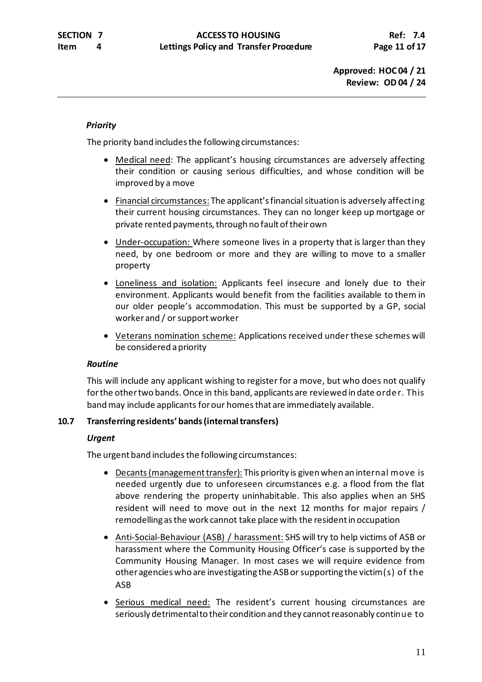## *Priority*

The priority band includes the following circumstances:

- Medical need: The applicant's housing circumstances are adversely affecting their condition or causing serious difficulties, and whose condition will be improved by a move
- Financial circumstances: The applicant's financial situation is adversely affecting their current housing circumstances. They can no longer keep up mortgage or private rented payments, through no fault of their own
- Under-occupation: Where someone lives in a property that is larger than they need, by one bedroom or more and they are willing to move to a smaller property
- Loneliness and isolation: Applicants feel insecure and lonely due to their environment. Applicants would benefit from the facilities available to them in our older people's accommodation. This must be supported by a GP, social worker and / or support worker
- Veterans nomination scheme: Applications received under these schemes will be considered a priority

### *Routine*

This will include any applicant wishing to register for a move, but who does not qualify for the othertwo bands.Once in this band, applicants are reviewed in date order. This band may include applicants for our homes that are immediately available.

### **10.7 Transferring residents' bands(internal transfers)**

### *Urgent*

The urgent band includes the following circumstances:

- Decants (management transfer): This priority is given when an internal move is needed urgently due to unforeseen circumstances e.g. a flood from the flat above rendering the property uninhabitable. This also applies when an SHS resident will need to move out in the next 12 months for major repairs / remodelling as the work cannot take place with the resident in occupation
- Anti-Social-Behaviour (ASB) / harassment: SHS will try to help victims of ASB or harassment where the Community Housing Officer's case is supported by the Community Housing Manager. In most cases we will require evidence from other agencies who are investigating the ASB or supporting the victim(s) of the ASB
- Serious medical need: The resident's current housing circumstances are seriously detrimental to their condition and they cannot reasonably continue to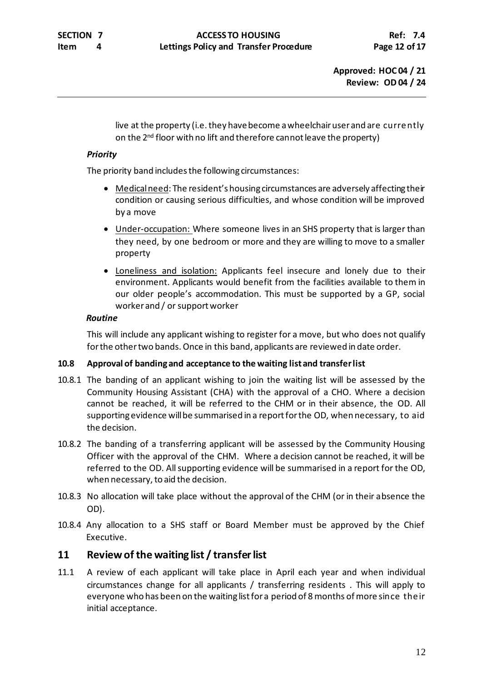live at the property (i.e. they have become a wheelchair user and are currently on the 2<sup>nd</sup> floor with no lift and therefore cannot leave the property)

## *Priority*

The priority band includes the following circumstances:

- Medical need: The resident's housing circumstances are adversely affecting their condition or causing serious difficulties, and whose condition will be improved by a move
- Under-occupation: Where someone lives in an SHS property that is larger than they need, by one bedroom or more and they are willing to move to a smaller property
- Loneliness and isolation: Applicants feel insecure and lonely due to their environment. Applicants would benefit from the facilities available to them in our older people's accommodation. This must be supported by a GP, social worker and / or support worker

## *Routine*

This will include any applicant wishing to register for a move, but who does not qualify for the other two bands. Once in this band, applicants are reviewed in date order.

## **10.8 Approval of banding and acceptance to the waiting list and transfer list**

- 10.8.1 The banding of an applicant wishing to join the waiting list will be assessed by the Community Housing Assistant (CHA) with the approval of a CHO. Where a decision cannot be reached, it will be referred to the CHM or in their absence, the OD. All supporting evidence will be summarised in a report for the OD, when necessary, to aid the decision.
- 10.8.2 The banding of a transferring applicant will be assessed by the Community Housing Officer with the approval of the CHM. Where a decision cannot be reached, it will be referred to the OD. All supporting evidence will be summarised in a report for the OD, when necessary, to aid the decision.
- 10.8.3 No allocation will take place without the approval of the CHM (or in their absence the OD).
- 10.8.4 Any allocation to a SHS staff or Board Member must be approved by the Chief Executive.

# **11 Review of the waiting list / transfer list**

11.1 A review of each applicant will take place in April each year and when individual circumstances change for all applicants / transferring residents . This will apply to everyone who has been on the waiting list for a period of 8 months of more since their initial acceptance.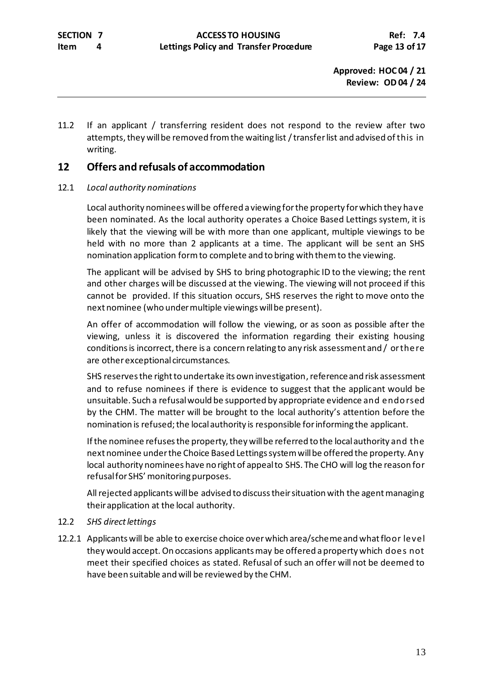11.2 If an applicant / transferring resident does not respond to the review after two attempts, they will be removed from the waiting list / transfer list and advised of this in writing.

# **12 Offers and refusals of accommodation**

## 12.1 *Local authority nominations*

Local authority nominees will be offered a viewing for the property for which they have been nominated. As the local authority operates a Choice Based Lettings system, it is likely that the viewing will be with more than one applicant, multiple viewings to be held with no more than 2 applicants at a time. The applicant will be sent an SHS nomination application form to complete and to bring with them to the viewing.

The applicant will be advised by SHS to bring photographic ID to the viewing; the rent and other charges will be discussed at the viewing. The viewing will not proceed if this cannot be provided. If this situation occurs, SHS reserves the right to move onto the next nominee (who under multiple viewings will be present).

An offer of accommodation will follow the viewing, or as soon as possible after the viewing, unless it is discovered the information regarding their existing housing conditions is incorrect, there is a concern relating to any risk assessment and / or there are other exceptional circumstances.

SHS reserves the right to undertake its own investigation, referenceand risk assessment and to refuse nominees if there is evidence to suggest that the applicant would be unsuitable. Such a refusal would be supported by appropriate evidence and endorsed by the CHM. The matter will be brought to the local authority's attention before the nomination is refused; the local authority is responsible for informing the applicant.

If the nominee refuses the property, they will be referred to the local authority and the next nominee under the Choice Based Lettings system will be offered the property. Any local authority nominees have no right of appeal to SHS. The CHO will log the reason for refusal for SHS' monitoring purposes.

All rejected applicants will be advised to discuss their situation with the agent managing their application at the local authority.

### 12.2 *SHS direct lettings*

12.2.1 Applicants will be able to exercise choice over which area/scheme and whatfloor level they would accept. On occasions applicants may be offered a property which does not meet their specified choices as stated. Refusal of such an offer will not be deemed to have been suitable and will be reviewed by the CHM.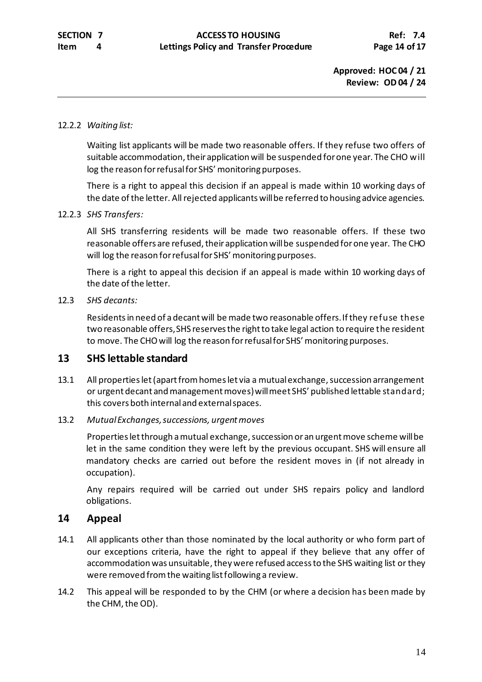### 12.2.2 *Waiting list:*

Waiting list applicants will be made two reasonable offers. If they refuse two offers of suitable accommodation, their application will be suspended for one year. The CHO will log the reason for refusal for SHS' monitoring purposes.

There is a right to appeal this decision if an appeal is made within 10 working days of the date of the letter. All rejected applicants will be referred to housing advice agencies.

### 12.2.3 *SHS Transfers:*

All SHS transferring residents will be made two reasonable offers. If these two reasonable offers are refused, their application will be suspended for one year. The CHO will log the reason for refusal for SHS' monitoring purposes.

There is a right to appeal this decision if an appeal is made within 10 working days of the date of the letter.

### 12.3 *SHS decants:*

Residents in need of a decant will be made two reasonable offers. If they refuse these two reasonable offers, SHS reserves the right to take legal action to require the resident to move. The CHO will log the reason for refusal for SHS' monitoring purposes.

## **13 SHS lettable standard**

13.1 All properties let (apart from homes let via a mutual exchange, succession arrangement or urgent decant and management moves) will meet SHS' published lettable standard; this covers both internal and external spaces.

### 13.2 *Mutual Exchanges, successions, urgent moves*

Properties let through a mutual exchange, succession or an urgent move scheme will be let in the same condition they were left by the previous occupant. SHS will ensure all mandatory checks are carried out before the resident moves in (if not already in occupation).

Any repairs required will be carried out under SHS repairs policy and landlord obligations.

## **14 Appeal**

- 14.1 All applicants other than those nominated by the local authority or who form part of our exceptions criteria, have the right to appeal if they believe that any offer of accommodation was unsuitable, they were refused access to the SHS waiting list or they were removed from the waiting list following a review.
- 14.2 This appeal will be responded to by the CHM (or where a decision has been made by the CHM, the OD).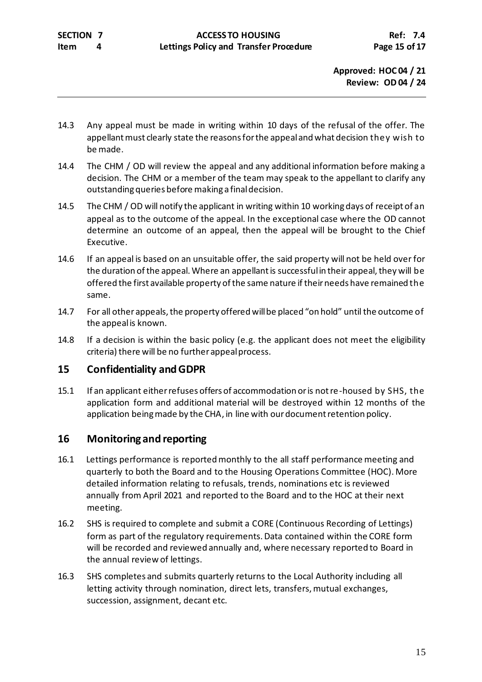- 14.3 Any appeal must be made in writing within 10 days of the refusal of the offer. The appellant must clearly state the reasons for the appeal and what decision they wish to be made.
- 14.4 The CHM / OD will review the appeal and any additional information before making a decision. The CHM or a member of the team may speak to the appellant to clarify any outstanding queries before making a finaldecision.
- 14.5 The CHM / OD will notify the applicant in writing within 10 working days of receipt of an appeal as to the outcome of the appeal. In the exceptional case where the OD cannot determine an outcome of an appeal, then the appeal will be brought to the Chief Executive.
- 14.6 If an appeal is based on an unsuitable offer, the said property will not be held over for the duration of the appeal. Where an appellant is successful in their appeal, they will be offered the first available property of the same nature if their needs have remained the same.
- 14.7 For all other appeals, the property offered will be placed "on hold" until the outcome of the appeal is known.
- 14.8 If a decision is within the basic policy (e.g. the applicant does not meet the eligibility criteria) there will be no further appeal process.

# **15 Confidentiality and GDPR**

15.1 If an applicant either refuses offers of accommodation or is not re-housed by SHS, the application form and additional material will be destroyed within 12 months of the application being made by the CHA, in line with our document retention policy.

# **16 Monitoring and reporting**

- 16.1 Lettings performance is reported monthly to the all staff performance meeting and quarterly to both the Board and to the Housing Operations Committee (HOC). More detailed information relating to refusals, trends, nominations etc is reviewed annually from April 2021 and reported to the Board and to the HOC at their next meeting.
- 16.2 SHS is required to complete and submit a CORE (Continuous Recording of Lettings) form as part of the regulatory requirements. Data contained within the CORE form will be recorded and reviewed annually and, where necessary reported to Board in the annual review of lettings.
- 16.3 SHS completes and submits quarterly returns to the Local Authority including all letting activity through nomination, direct lets, transfers, mutual exchanges, succession, assignment, decant etc.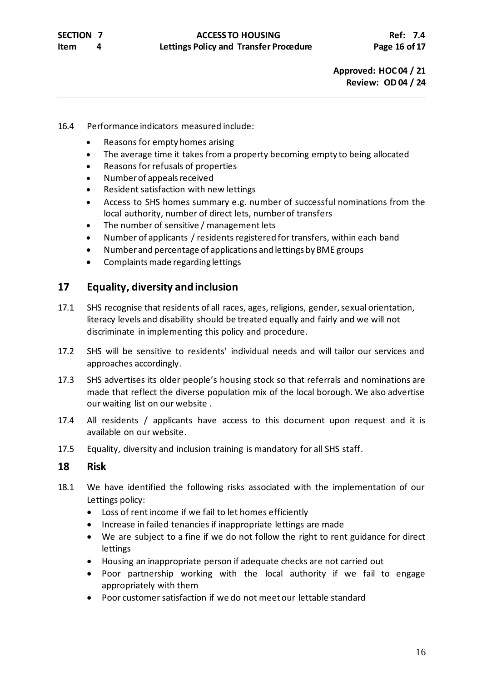#### 16.4 Performance indicators measured include:

- Reasons for empty homes arising
- The average time it takes from a property becoming empty to being allocated
- Reasons for refusals of properties
- Number of appeals received
- Resident satisfaction with new lettings
- Access to SHS homes summary e.g. number of successful nominations from the local authority, number of direct lets, number of transfers
- The number of sensitive / management lets
- Number of applicants / residents registered for transfers, within each band
- Number and percentage of applications and lettings by BME groups
- Complaints made regarding lettings

## **17 Equality, diversity and inclusion**

- 17.1 SHS recognise that residents of all races, ages, religions, gender, sexual orientation, literacy levels and disability should be treated equally and fairly and we will not discriminate in implementing this policy and procedure.
- 17.2 SHS will be sensitive to residents' individual needs and will tailor our services and approaches accordingly.
- 17.3 SHS advertises its older people's housing stock so that referrals and nominations are made that reflect the diverse population mix of the local borough. We also advertise our waiting list on our website .
- 17.4 All residents / applicants have access to this document upon request and it is available on our website.
- 17.5 Equality, diversity and inclusion training is mandatory for all SHS staff.

### **18 Risk**

- 18.1 We have identified the following risks associated with the implementation of our Lettings policy:
	- Loss of rent income if we fail to let homes efficiently
	- Increase in failed tenancies if inappropriate lettings are made
	- We are subject to a fine if we do not follow the right to rent guidance for direct lettings
	- Housing an inappropriate person if adequate checks are not carried out
	- Poor partnership working with the local authority if we fail to engage appropriately with them
	- Poor customer satisfaction if we do not meet our lettable standard